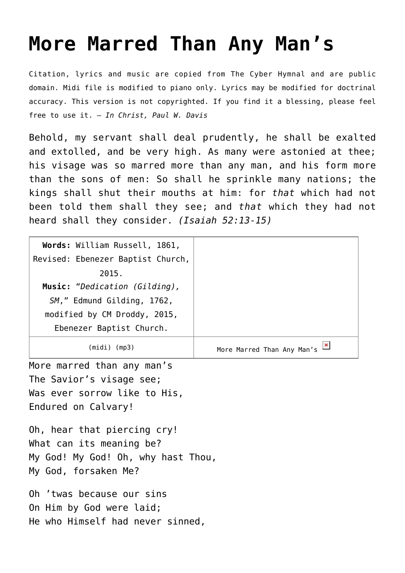## **[More Marred Than Any Man's](http://reproachofmen.org/hymns-and-music/more-marred-than-any-mans/)**

Citation, lyrics and music are copied from [The Cyber Hymnal](http://www.hymntime.com/tch/index.htm) and are public domain. Midi file is modified to piano only. Lyrics may be modified for doctrinal accuracy. This version is not copyrighted. If you find it a blessing, please feel free to use it. — *In Christ, Paul W. Davis*

Behold, my servant shall deal prudently, he shall be exalted and extolled, and be very high. As many were astonied at thee; his visage was so marred more than any man, and his form more than the sons of men: So shall he sprinkle many nations; the kings shall shut their mouths at him: for *that* which had not been told them shall they see; and *that* which they had not heard shall they consider. *(Isaiah 52:13-15)*

| Words: William Russell, 1861,     |                            |
|-----------------------------------|----------------------------|
| Revised: Ebenezer Baptist Church, |                            |
| 2015.                             |                            |
| Music: "Dedication (Gilding),     |                            |
| SM," Edmund Gilding, 1762,        |                            |
| modified by CM Droddy, 2015,      |                            |
| Ebenezer Baptist Church.          |                            |
| (midi) (mp3)                      | More Marred Than Any Man's |

More marred than any man's The Savior's visage see; Was ever sorrow like to His, Endured on Calvary!

Oh, hear that piercing cry! What can its meaning be? My God! My God! Oh, why hast Thou, My God, forsaken Me?

Oh 'twas because our sins On Him by God were laid; He who Himself had never sinned,